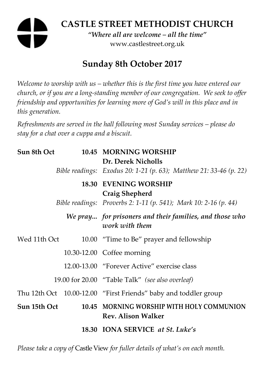# **CASTLE STREET METHODIST CHURCH**

*"Where all are welcome – all the time"*  www.castlestreet.org.uk

## **Sunday 8th October 2017**

*Welcome to worship with us – whether this is the first time you have entered our church, or if you are a long-standing member of our congregation. We seek to offer friendship and opportunities for learning more of God's will in this place and in this generation.* 

*Refreshments are served in the hall following most Sunday services – please do stay for a chat over a cuppa and a biscuit.* 

| Sun 8th Oct  |  | 10.45 MORNING WORSHIP<br>Dr. Derek Nicholls                               |
|--------------|--|---------------------------------------------------------------------------|
|              |  | Bible readings: Exodus 20: 1-21 (p. 63); Matthew 21: 33-46 (p. 22)        |
|              |  | <b>18.30 EVENING WORSHIP</b><br>Craig Shepherd                            |
|              |  | Bible readings: Proverbs 2: 1-11 (p. 541); Mark 10: 2-16 (p. 44)          |
|              |  | We pray for prisoners and their families, and those who<br>work with them |
| Wed 11th Oct |  | 10.00 "Time to Be" prayer and fellowship                                  |
|              |  | 10.30-12.00 Coffee morning                                                |
|              |  | 12.00-13.00 "Forever Active" exercise class                               |
|              |  | 19.00 for 20.00 "Table Talk" (see also overleaf)                          |
|              |  | Thu 12th Oct 10.00-12.00 "First Friends" baby and toddler group           |
| Sun 15th Oct |  | 10.45 MORNING WORSHIP WITH HOLY COMMUNION<br><b>Rev. Alison Walker</b>    |
|              |  | 18.30 IONA SERVICE at St. Luke's                                          |

*Please take a copy of* Castle View *for fuller details of what's on each month.*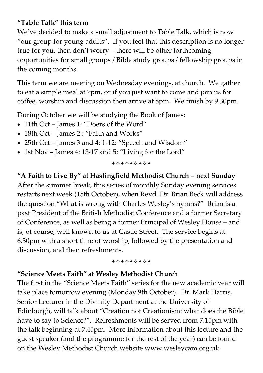#### **"Table Talk" this term**

We've decided to make a small adjustment to Table Talk, which is now "our group for young adults". If you feel that this description is no longer true for you, then don't worry – there will be other forthcoming opportunities for small groups / Bible study groups / fellowship groups in the coming months.

This term we are meeting on Wednesday evenings, at church. We gather to eat a simple meal at 7pm, or if you just want to come and join us for coffee, worship and discussion then arrive at 8pm. We finish by 9.30pm.

During October we will be studying the Book of James:

- 11th Oct James 1: "Doers of the Word"
- 18th Oct James 2 : "Faith and Works"
- 25th Oct James 3 and 4: 1-12: "Speech and Wisdom"
- 1st Nov James 4: 13-17 and 5: "Living for the Lord"

+\*\*\*\*\*\*\*

**"A Faith to Live By" at Haslingfield Methodist Church – next Sunday**  After the summer break, this series of monthly Sunday evening services restarts next week (15th October), when Revd. Dr. Brian Beck will address the question "What is wrong with Charles Wesley's hymns?" Brian is a past President of the British Methodist Conference and a former Secretary of Conference, as well as being a former Principal of Wesley House – and is, of course, well known to us at Castle Street. The service begins at 6.30pm with a short time of worship, followed by the presentation and discussion, and then refreshments.

+\*+\*\*\*\*\*

## **"Science Meets Faith" at Wesley Methodist Church**

The first in the "Science Meets Faith" series for the new academic year will take place tomorrow evening (Monday 9th October). Dr. Mark Harris, Senior Lecturer in the Divinity Department at the University of Edinburgh, will talk about "Creation not Creationism: what does the Bible have to say to Science?". Refreshments will be served from 7.15pm with the talk beginning at 7.45pm. More information about this lecture and the guest speaker (and the programme for the rest of the year) can be found on the Wesley Methodist Church website www.wesleycam.org.uk.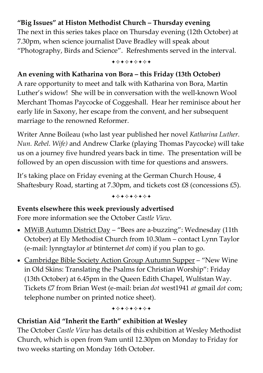## **"Big Issues" at Histon Methodist Church – Thursday evening**

The next in this series takes place on Thursday evening (12th October) at 7.30pm, when science journalist Dave Bradley will speak about "Photography, Birds and Science". Refreshments served in the interval.

+\*\*\*\*\*\*\*

#### **An evening with Katharina von Bora – this Friday (13th October)**

A rare opportunity to meet and talk with Katharina von Bora, Martin Luther's widow! She will be in conversation with the well-known Wool Merchant Thomas Paycocke of Coggeshall. Hear her reminisce about her early life in Saxony, her escape from the convent, and her subsequent marriage to the renowned Reformer.

Writer Anne Boileau (who last year published her novel *Katharina Luther. Nun. Rebel. Wife)* and Andrew Clarke (playing Thomas Paycocke) will take us on a journey five hundred years back in time. The presentation will be followed by an open discussion with time for questions and answers.

It's taking place on Friday evening at the German Church House, 4 Shaftesbury Road, starting at 7.30pm, and tickets cost £8 (concessions £5).

+\*\*\*\*\*\*\*

#### **Events elsewhere this week previously advertised**

Fore more information see the October *Castle View*.

- MWiB Autumn District Day "Bees are a-buzzing": Wednesday (11th October) at Ely Methodist Church from 10.30am – contact Lynn Taylor (e-mail: lynngtaylor *at* btinternet *dot* com) if you plan to go.
- Cambridge Bible Society Action Group Autumn Supper "New Wine in Old Skins: Translating the Psalms for Christian Worship": Friday (13th October) at 6.45pm in the Queen Edith Chapel, Wulfstan Way. Tickets £7 from Brian West (e-mail: brian *dot* west1941 *at* gmail *dot* com; telephone number on printed notice sheet).

+\*\*\*\*\*\*\*

#### **Christian Aid "Inherit the Earth" exhibition at Wesley**

The October *Castle View* has details of this exhibition at Wesley Methodist Church, which is open from 9am until 12.30pm on Monday to Friday for two weeks starting on Monday 16th October.